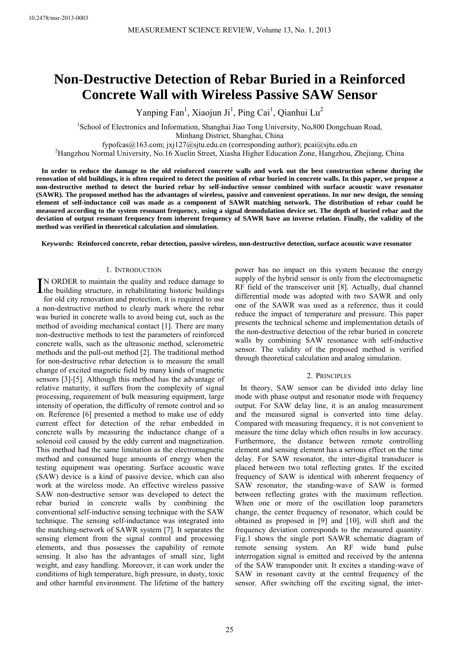# **Non-Destructive Detection of Rebar Buried in a Reinforced Concrete Wall with Wireless Passive SAW Sensor**

Yanping Fan<sup>1</sup>, Xiaojun Ji<sup>1</sup>, Ping Cai<sup>1</sup>, Qianhui Lu<sup>2</sup>

<sup>1</sup>School of Electronics and Information, Shanghai Jiao Tong University, No.800 Dongchuan Road, Minhang District, Shanghai, China

fypofcas $(a)$ 163.com; jxj127 $(a)$ sjtu.edu.cn (corresponding author); pcai $(a)$ sjtu.edu.cn

Hangzhou Normal University, No.16 Xuelin Street, Xiasha Higher Education Zone, Hangzhou, Zhejiang, China

**In order to reduce the damage to the old reinforced concrete walls and work out the best construction scheme during the renovation of old buildings, it is often required to detect the position of rebar buried in concrete walls. In this paper, we propose a non-destructive method to detect the buried rebar by self-inductive sensor combined with surface acoustic wave resonator (SAWR). The proposed method has the advantages of wireless, passive and convenient operations. In our new design, the sensing element of self-inductance coil was made as a component of SAWR matching network. The distribution of rebar could be measured according to the system resonant frequency, using a signal demodulation device set. The depth of buried rebar and the deviation of output resonant frequency from inherent frequency of SAWR have an inverse relation. Finally, the validity of the method was verified in theoretical calculation and simulation.** 

**Keywords: Reinforced concrete, rebar detection, passive wireless, non-destructive detection, surface acoustic wave resonator** 

#### 1. INTRODUCTION

N ORDER to maintain the quality and reduce damage to IN ORDER to maintain the quality and reduce damage to the building structure, in rehabilitating historic buildings

for old city renovation and protection, it is required to use a non-destructive method to clearly mark where the rebar was buried in concrete walls to avoid being cut, such as the method of avoiding mechanical contact [1]. There are many non-destructive methods to test the parameters of reinforced concrete walls, such as the ultrasonic method, sclerometric methods and the pull-out method [2]. The traditional method for non-destructive rebar detection is to measure the small change of excited magnetic field by many kinds of magnetic sensors [3]-[5]. Although this method has the advantage of relative maturity, it suffers from the complexity of signal processing, requirement of bulk measuring equipment, large intensity of operation, the difficulty of remote control and so on. Reference [6] presented a method to make use of eddy current effect for detection of the rebar embedded in concrete walls by measuring the inductance change of a solenoid coil caused by the eddy current and magnetization. This method had the same limitation as the electromagnetic method and consumed huge amounts of energy when the testing equipment was operating. Surface acoustic wave (SAW) device is a kind of passive device, which can also work at the wireless mode. An effective wireless passive SAW non-destructive sensor was developed to detect the rebar buried in concrete walls by combining the conventional self-inductive sensing technique with the SAW technique. The sensing self-inductance was integrated into the matching-network of SAWR system [7]. It separates the sensing element from the signal control and processing elements, and thus possesses the capability of remote sensing. It also has the advantages of small size, light weight, and easy handling. Moreover, it can work under the conditions of high temperature, high pressure, in dusty, toxic and other harmful environment. The lifetime of the battery

power has no impact on this system because the energy supply of the hybrid sensor is only from the electromagnetic RF field of the transceiver unit [8]. Actually, dual channel differential mode was adopted with two SAWR and only one of the SAWR was used as a reference, thus it could reduce the impact of temperature and pressure. This paper presents the technical scheme and implementation details of the non-destructive detection of the rebar buried in concrete walls by combining SAW resonance with self-inductive sensor. The validity of the proposed method is verified through theoretical calculation and analog simulation.

#### 2. PRINCIPLES

In theory, SAW sensor can be divided into delay line mode with phase output and resonator mode with frequency output. For SAW delay line, it is an analog measurement and the measured signal is converted into time delay. Compared with measuring frequency, it is not convenient to measure the time delay which often results in low accuracy. Furthermore, the distance between remote controlling element and sensing element has a serious effect on the time delay. For SAW resonator, the inter-digital transducer is placed between two total reflecting grates. If the excited frequency of SAW is identical with inherent frequency of SAW resonator, the standing-wave of SAW is formed between reflecting grates with the maximum reflection. When one or more of the oscillation loop parameters change, the center frequency of resonator, which could be obtained as proposed in [9] and [10], will shift and the frequency deviation corresponds to the measured quantity. Fig.1 shows the single port SAWR schematic diagram of remote sensing system. An RF wide band pulse interrogation signal is emitted and received by the antenna of the SAW transponder unit. It excites a standing-wave of SAW in resonant cavity at the central frequency of the sensor. After switching off the exciting signal, the inter-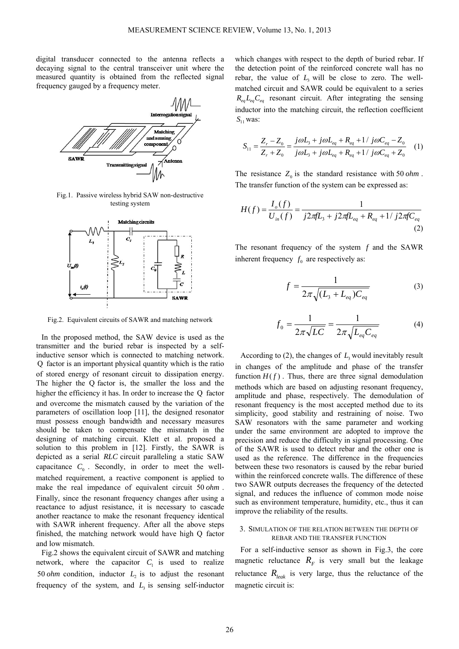digital transducer connected to the antenna reflects a decaying signal to the central transceiver unit where the measured quantity is obtained from the reflected signal frequency gauged by a frequency meter.



Fig.1. Passive wireless hybrid SAW non-destructive testing system



Fig.2. Equivalent circuits of SAWR and matching network

In the proposed method, the SAW device is used as the transmitter and the buried rebar is inspected by a selfinductive sensor which is connected to matching network. Q factor is an important physical quantity which is the ratio of stored energy of resonant circuit to dissipation energy. The higher the Q factor is, the smaller the loss and the higher the efficiency it has. In order to increase the O factor and overcome the mismatch caused by the variation of the parameters of oscillation loop [11], the designed resonator must possess enough bandwidth and necessary measures should be taken to compensate the mismatch in the designing of matching circuit. Klett et al. proposed a solution to this problem in [12]. Firstly, the SAWR is depicted as a serial *RLC* circuit paralleling a static SAW capacitance  $C_0$ . Secondly, in order to meet the wellmatched requirement, a reactive component is applied to make the real impedance of equivalent circuit 50 *ohm* . Finally, since the resonant frequency changes after using a reactance to adjust resistance, it is necessary to cascade another reactance to make the resonant frequency identical with SAWR inherent frequency. After all the above steps finished, the matching network would have high Q factor and low mismatch.

Fig.2 shows the equivalent circuit of SAWR and matching network, where the capacitor  $C_1$  is used to realize 50  $ohm$  condition, inductor  $L<sub>2</sub>$  is to adjust the resonant frequency of the system, and  $L<sub>3</sub>$  is sensing self-inductor

which changes with respect to the depth of buried rebar. If the detection point of the reinforced concrete wall has no rebar, the value of  $L_3$  will be close to zero. The wellmatched circuit and SAWR could be equivalent to a series  $R_{eq}L_{eq}C_{eq}$  resonant circuit. After integrating the sensing inductor into the matching circuit, the reflection coefficient  $S_{11}$  was:

$$
S_{11} = \frac{Z_r - Z_0}{Z_r + Z_0} = \frac{j\omega L_3 + j\omega L_{eq} + R_{eq} + 1 / j\omega C_{eq} - Z_0}{j\omega L_3 + j\omega L_{eq} + R_{eq} + 1 / j\omega C_{eq} + Z_0}
$$
 (1)

The resistance  $Z_0$  is the standard resistance with 50  $ohm$ . The transfer function of the system can be expressed as:

$$
H(f) = \frac{I_o(f)}{U_{in}(f)} = \frac{1}{j2\pi fL_3 + j2\pi fL_{eq} + R_{eq} + 1/j2\pi fC_{eq}}
$$
\n(2)

The resonant frequency of the system *f* and the SAWR inherent frequency  $f_0$  are respectively as:

$$
f = \frac{1}{2\pi\sqrt{(L_3 + L_{eq})C_{eq}}}
$$
(3)

$$
f_0 = \frac{1}{2\pi\sqrt{LC}} = \frac{1}{2\pi\sqrt{L_{eq}C_{eq}}}
$$
(4)

According to  $(2)$ , the changes of  $L<sub>3</sub>$  would inevitably result in changes of the amplitude and phase of the transfer function  $H(f)$ . Thus, there are three signal demodulation methods which are based on adjusting resonant frequency, amplitude and phase, respectively. The demodulation of resonant frequency is the most accepted method due to its simplicity, good stability and restraining of noise. Two SAW resonators with the same parameter and working under the same environment are adopted to improve the precision and reduce the difficulty in signal processing. One of the SAWR is used to detect rebar and the other one is used as the reference. The difference in the frequencies between these two resonators is caused by the rebar buried within the reinforced concrete walls. The difference of these two SAWR outputs decreases the frequency of the detected signal, and reduces the influence of common mode noise such as environment temperature, humidity, etc., thus it can improve the reliability of the results.

### 3. SIMULATION OF THE RELATION BETWEEN THE DEPTH OF REBAR AND THE TRANSFER FUNCTION

For a self-inductive sensor as shown in Fig.3, the core magnetic reluctance  $R_F$  is very small but the leakage reluctance  $R_{leak}$  is very large, thus the reluctance of the magnetic circuit is: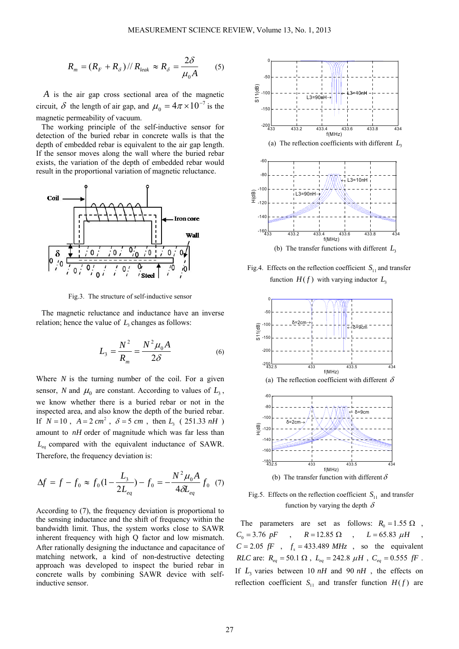$$
R_m = (R_F + R_\delta) / R_{leak} \approx R_\delta = \frac{2\delta}{\mu_0 A} \qquad (5)
$$

*A* is the air gap cross sectional area of the magnetic circuit,  $\delta$  the length of air gap, and  $\mu_0 = 4\pi \times 10^{-7}$  is the magnetic permeability of vacuum.

The working principle of the self-inductive sensor for detection of the buried rebar in concrete walls is that the depth of embedded rebar is equivalent to the air gap length. If the sensor moves along the wall where the buried rebar exists, the variation of the depth of embedded rebar would result in the proportional variation of magnetic reluctance.



Fig.3. The structure of self-inductive sensor

The magnetic reluctance and inductance have an inverse relation; hence the value of  $L<sub>2</sub>$  changes as follows:

$$
L_3 = \frac{N^2}{R_m} = \frac{N^2 \mu_0 A}{2\delta}
$$
 (6)

Where *N* is the turning number of the coil. For a given sensor, *N* and  $\mu_0$  are constant. According to values of  $L_3$ , we know whether there is a buried rebar or not in the inspected area, and also know the depth of the buried rebar. If  $N = 10$ ,  $A = 2 \text{ cm}^2$ ,  $\delta = 5 \text{ cm}$ , then  $L_3$  ( 251.33 *nH*) amount to *nH* order of magnitude which was far less than *Leq* compared with the equivalent inductance of SAWR. Therefore, the frequency deviation is:

$$
\Delta f = f - f_0 \approx f_0 (1 - \frac{L_3}{2L_{eq}}) - f_0 = -\frac{N^2 \mu_0 A}{4\delta L_{eq}} f_0
$$
 (7)

According to (7), the frequency deviation is proportional to the sensing inductance and the shift of frequency within the bandwidth limit. Thus, the system works close to SAWR inherent frequency with high Q factor and low mismatch. After rationally designing the inductance and capacitance of matching network, a kind of non-destructive detecting approach was developed to inspect the buried rebar in concrete walls by combining SAWR device with selfinductive sensor.



(a) The reflection coefficients with different  $L<sub>3</sub>$ 



Fig.4. Effects on the reflection coefficient  $S_{11}$  and transfer function  $H(f)$  with varying inductor  $L<sub>3</sub>$ 



Fig.5. Effects on the reflection coefficient  $S_{11}$  and transfer function by varying the depth  $\delta$ 

The parameters are set as follows:  $R_0 = 1.55 \Omega$ ,  $C_0 = 3.76 \, pF$ ,  $R = 12.85 \, \Omega$ ,  $L = 65.83 \, \mu H$  $C = 2.05$  *fF*,  $f_s = 433.489$  *MHz*, so the equivalent *RLC* are:  $R_{eq} = 50.1 \Omega$ ,  $L_{eq} = 242.8 \mu H$ ,  $C_{eq} = 0.555 fF$ . If  $L_3$  varies between 10  $nH$  and 90  $nH$ , the effects on reflection coefficient  $S_{11}$  and transfer function  $H(f)$  are